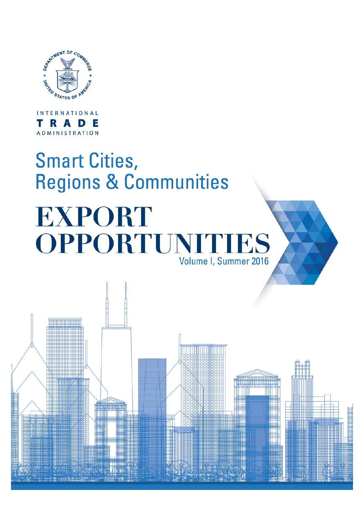

**INTERNATIONAL RADE** т ADMINISTRATION

# **Smart Cities,** Regions & Communities

# **EXPORT OPPORTUNI'** IES Volume I, Summer 2016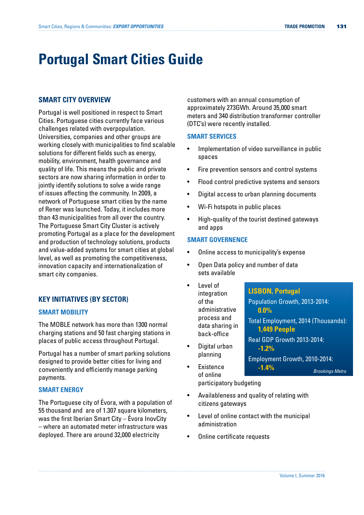# **Portugal Smart Cities Guide**

# **SMART CITY OVERVIEW**

Portugal is well positioned in respect to Smart Cities. Portuguese cities currently face various challenges related with overpopulation. Universities, companies and other groups are working closely with municipalities to find scalable solutions for different fields such as energy, mobility, environment, health governance and quality of life. This means the public and private sectors are now sharing information in order to jointly identify solutions to solve a wide range of issues affecting the community. In 2009, a network of Portuguese smart cities by the name of Rener was launched. Today, it includes more than 43 municipalities from all over the country. The Portuguese Smart City Cluster is actively promoting Portugal as a place for the development and production of technology solutions, products and value-added systems for smart cities at global level, as well as promoting the competitiveness, innovation capacity and internationalization of smart city companies.

# **KEY INITIATIVES (BY SECTOR)**

## **SMART MOBILITY**

The MOBLE network has more than 1300 normal charging stations and 50 fast charging stations in places of public access throughout Portugal.

Portugal has a number of smart parking solutions designed to provide better cities for living and conveniently and efficiently manage parking payments.

## **SMART ENERGY**

The Portuguese city of Évora, with a population of 55 thousand and are of 1.307 square kilometers, was the first Iberian Smart City – Évora InovCity – where an automated meter infrastructure was deployed. There are around 32,000 electricity

customers with an annual consumption of approximately 273GWh. Around 35,000 smart meters and 340 distribution transformer controller (DTC's) were recently installed.

#### **SMART SERVICES**

- Implementation of video surveillance in public spaces
- Fire prevention sensors and control systems
- Flood control predictive systems and sensors
- Digital access to urban planning documents
- Wi-Fi hotspots in public places
- High-quality of the tourist destined gateways and apps

## **SMART GOVERNENCE**

- Online access to municipality's expense
- Open Data policy and number of data sets available
- Level of integration of the administrative process and data sharing in back-office • Digital urban planning **Existence LISBON, Portugal** Population Growth, 2013-2014: **0.0%** Total Employment, 2014 (Thousands): **1,449 People** Real GDP Growth 2013-2014: **-1.2%** Employment Growth, 2010-2014: **-1.4%** *Brookings Metro*
- of online participatory budgeting
- Availableness and quality of relating with citizens gateways
- Level of online contact with the municipal administration
- Online certificate requests